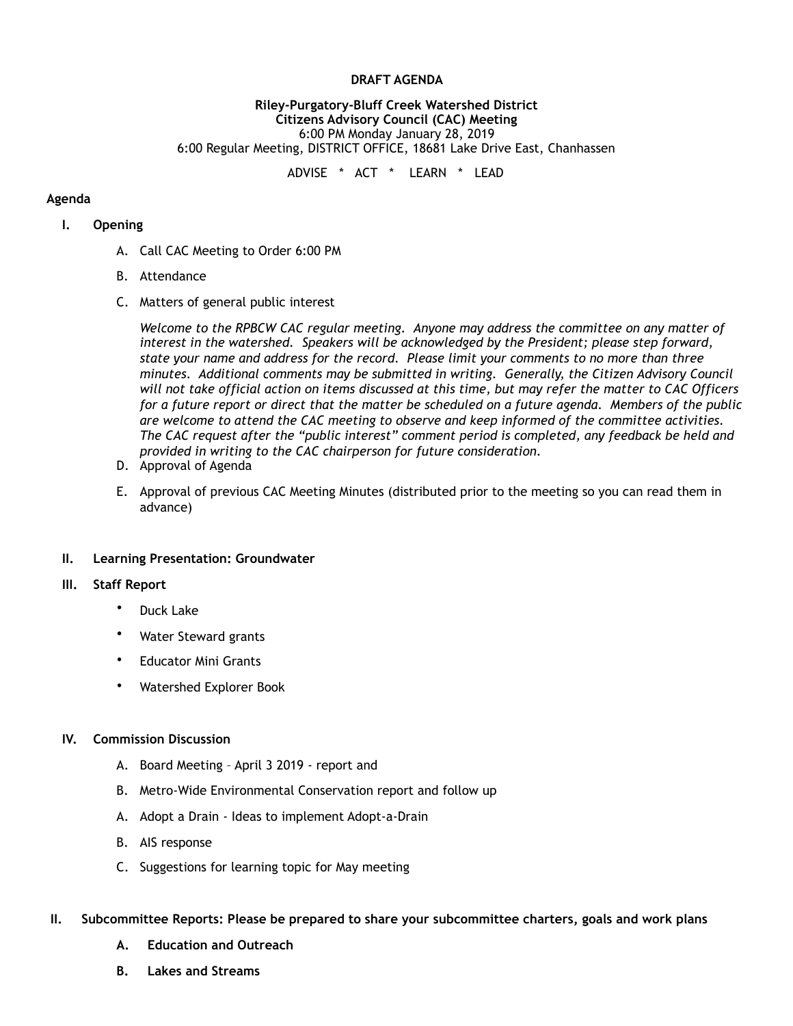### **DRAFT AGENDA**

#### **Riley-Purgatory-Bluff Creek Watershed District Citizens Advisory Council (CAC) Meeting**  6:00 PM Monday January 28, 2019 6:00 Regular Meeting, DISTRICT OFFICE, 18681 Lake Drive East, Chanhassen

ADVISE \* ACT \* LEARN \* LEAD

### **Agenda**

### **I. Opening**

- A. Call CAC Meeting to Order 6:00 PM
- B. Attendance
- C. Matters of general public interest

*Welcome to the RPBCW CAC regular meeting. Anyone may address the committee on any matter of interest in the watershed. Speakers will be acknowledged by the President; please step forward, state your name and address for the record. Please limit your comments to no more than three minutes. Additional comments may be submitted in writing. Generally, the Citizen Advisory Council will not take official action on items discussed at this time, but may refer the matter to CAC Officers for a future report or direct that the matter be scheduled on a future agenda. Members of the public are welcome to attend the CAC meeting to observe and keep informed of the committee activities. The CAC request after the "public interest" comment period is completed, any feedback be held and provided in writing to the CAC chairperson for future consideration.*

- D. Approval of Agenda
- E. Approval of previous CAC Meeting Minutes (distributed prior to the meeting so you can read them in advance)

### **II. Learning Presentation: Groundwater**

## **III. Staff Report**

- Duck Lake
- Water Steward grants
- Educator Mini Grants
- Watershed Explorer Book

### **IV. Commission Discussion**

- A. Board Meeting April 3 2019 report and
- B. Metro-Wide Environmental Conservation report and follow up
- A. Adopt a Drain Ideas to implement Adopt-a-Drain
- B. AIS response
- C. Suggestions for learning topic for May meeting

### **II. Subcommittee Reports: Please be prepared to share your subcommittee charters, goals and work plans**

- **A. Education and Outreach**
- **B. Lakes and Streams**